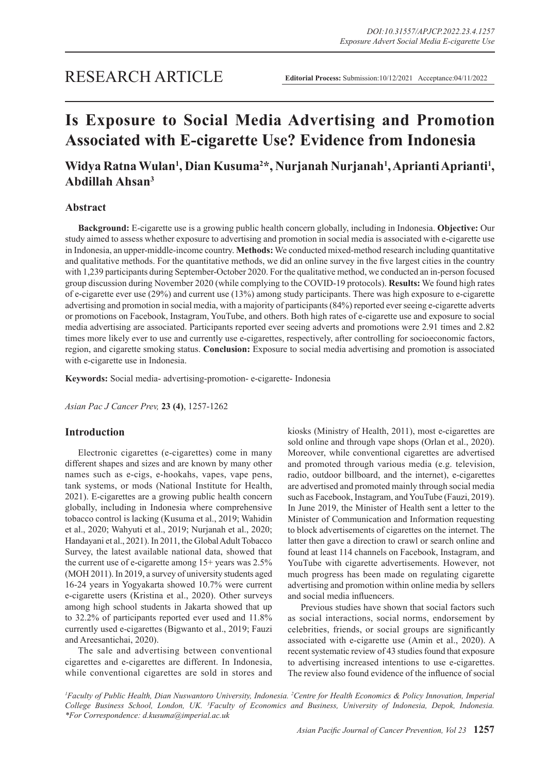# RESEARCH ARTICLE

# **Is Exposure to Social Media Advertising and Promotion Associated with E-cigarette Use? Evidence from Indonesia**

# Widya Ratna Wulan<sup>1</sup>, Dian Kusuma<sup>2</sup>\*, Nurjanah Nurjanah<sup>1</sup>, Aprianti Aprianti<sup>1</sup>, **Abdillah Ahsan3**

# **Abstract**

**Background:** E-cigarette use is a growing public health concern globally, including in Indonesia. **Objective:** Our study aimed to assess whether exposure to advertising and promotion in social media is associated with e-cigarette use in Indonesia, an upper-middle-income country. **Methods:** We conducted mixed-method research including quantitative and qualitative methods. For the quantitative methods, we did an online survey in the five largest cities in the country with 1,239 participants during September-October 2020. For the qualitative method, we conducted an in-person focused group discussion during November 2020 (while complying to the COVID-19 protocols). **Results:** We found high rates of e-cigarette ever use (29%) and current use (13%) among study participants. There was high exposure to e-cigarette advertising and promotion in social media, with a majority of participants (84%) reported ever seeing e-cigarette adverts or promotions on Facebook, Instagram, YouTube, and others. Both high rates of e-cigarette use and exposure to social media advertising are associated. Participants reported ever seeing adverts and promotions were 2.91 times and 2.82 times more likely ever to use and currently use e-cigarettes, respectively, after controlling for socioeconomic factors, region, and cigarette smoking status. **Conclusion:** Exposure to social media advertising and promotion is associated with e-cigarette use in Indonesia.

**Keywords:** Social media- advertising-promotion- e-cigarette- Indonesia

*Asian Pac J Cancer Prev,* **23 (4)**, 1257-1262

# **Introduction**

Electronic cigarettes (e-cigarettes) come in many different shapes and sizes and are known by many other names such as e-cigs, e-hookahs, vapes, vape pens, tank systems, or mods (National Institute for Health, 2021). E-cigarettes are a growing public health concern globally, including in Indonesia where comprehensive tobacco control is lacking (Kusuma et al., 2019; Wahidin et al., 2020; Wahyuti et al., 2019; Nurjanah et al., 2020; Handayani et al., 2021). In 2011, the Global Adult Tobacco Survey, the latest available national data, showed that the current use of e-cigarette among 15+ years was 2.5% (MOH 2011). In 2019, a survey of university students aged 16-24 years in Yogyakarta showed 10.7% were current e-cigarette users (Kristina et al., 2020). Other surveys among high school students in Jakarta showed that up to 32.2% of participants reported ever used and 11.8% currently used e-cigarettes (Bigwanto et al., 2019; Fauzi and Areesantichai, 2020).

The sale and advertising between conventional cigarettes and e-cigarettes are different. In Indonesia, while conventional cigarettes are sold in stores and kiosks (Ministry of Health, 2011), most e-cigarettes are sold online and through vape shops (Orlan et al., 2020). Moreover, while conventional cigarettes are advertised and promoted through various media (e.g. television, radio, outdoor billboard, and the internet), e-cigarettes are advertised and promoted mainly through social media such as Facebook, Instagram, and YouTube (Fauzi, 2019). In June 2019, the Minister of Health sent a letter to the Minister of Communication and Information requesting to block advertisements of cigarettes on the internet. The latter then gave a direction to crawl or search online and found at least 114 channels on Facebook, Instagram, and YouTube with cigarette advertisements. However, not much progress has been made on regulating cigarette advertising and promotion within online media by sellers and social media influencers.

Previous studies have shown that social factors such as social interactions, social norms, endorsement by celebrities, friends, or social groups are significantly associated with e-cigarette use (Amin et al., 2020). A recent systematic review of 43 studies found that exposure to advertising increased intentions to use e-cigarettes. The review also found evidence of the influence of social

*1 Faculty of Public Health, Dian Nuswantoro University, Indonesia. 2 Centre for Health Economics & Policy Innovation, Imperial College Business School, London, UK. 3 Faculty of Economics and Business, University of Indonesia, Depok, Indonesia. \*For Correspondence: d.kusuma@imperial.ac.uk*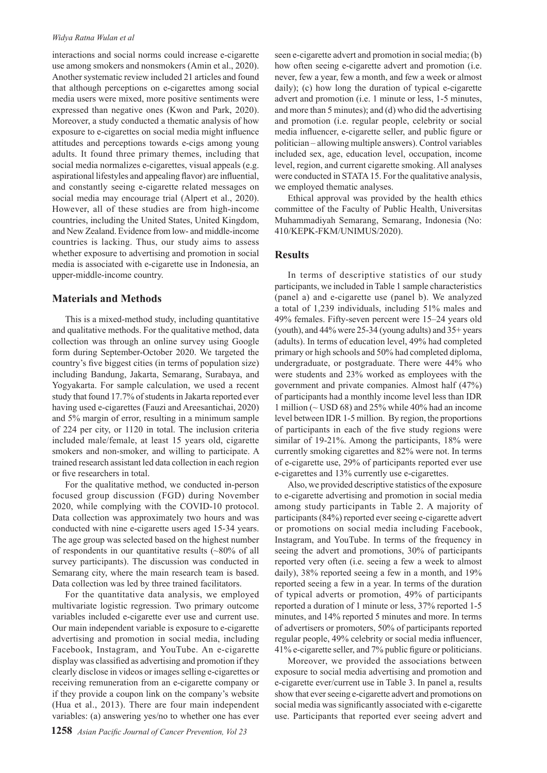#### *Widya Ratna Wulan et al*

interactions and social norms could increase e-cigarette use among smokers and nonsmokers (Amin et al., 2020). Another systematic review included 21 articles and found that although perceptions on e-cigarettes among social media users were mixed, more positive sentiments were expressed than negative ones (Kwon and Park, 2020). Moreover, a study conducted a thematic analysis of how exposure to e-cigarettes on social media might influence attitudes and perceptions towards e-cigs among young adults. It found three primary themes, including that social media normalizes e-cigarettes, visual appeals (e.g. aspirational lifestyles and appealing flavor) are influential, and constantly seeing e-cigarette related messages on social media may encourage trial (Alpert et al., 2020). However, all of these studies are from high-income countries, including the United States, United Kingdom, and New Zealand. Evidence from low- and middle-income countries is lacking. Thus, our study aims to assess whether exposure to advertising and promotion in social media is associated with e-cigarette use in Indonesia, an upper-middle-income country.

## **Materials and Methods**

This is a mixed-method study, including quantitative and qualitative methods. For the qualitative method, data collection was through an online survey using Google form during September-October 2020. We targeted the country's five biggest cities (in terms of population size) including Bandung, Jakarta, Semarang, Surabaya, and Yogyakarta. For sample calculation, we used a recent study that found 17.7% of students in Jakarta reported ever having used e-cigarettes (Fauzi and Areesantichai, 2020) and 5% margin of error, resulting in a minimum sample of 224 per city, or 1120 in total. The inclusion criteria included male/female, at least 15 years old, cigarette smokers and non-smoker, and willing to participate. A trained research assistant led data collection in each region or five researchers in total.

For the qualitative method, we conducted in-person focused group discussion (FGD) during November 2020, while complying with the COVID-10 protocol. Data collection was approximately two hours and was conducted with nine e-cigarette users aged 15-34 years. The age group was selected based on the highest number of respondents in our quantitative results (~80% of all survey participants). The discussion was conducted in Semarang city, where the main research team is based. Data collection was led by three trained facilitators.

For the quantitative data analysis, we employed multivariate logistic regression. Two primary outcome variables included e-cigarette ever use and current use. Our main independent variable is exposure to e-cigarette advertising and promotion in social media, including Facebook, Instagram, and YouTube. An e-cigarette display was classified as advertising and promotion if they clearly disclose in videos or images selling e-cigarettes or receiving remuneration from an e-cigarette company or if they provide a coupon link on the company's website (Hua et al., 2013). There are four main independent variables: (a) answering yes/no to whether one has ever seen e-cigarette advert and promotion in social media; (b) how often seeing e-cigarette advert and promotion (i.e. never, few a year, few a month, and few a week or almost daily); (c) how long the duration of typical e-cigarette advert and promotion (i.e. 1 minute or less, 1-5 minutes, and more than 5 minutes); and (d) who did the advertising and promotion (i.e. regular people, celebrity or social media influencer, e-cigarette seller, and public figure or politician – allowing multiple answers). Control variables included sex, age, education level, occupation, income level, region, and current cigarette smoking. All analyses were conducted in STATA 15. For the qualitative analysis, we employed thematic analyses.

Ethical approval was provided by the health ethics committee of the Faculty of Public Health, Universitas Muhammadiyah Semarang, Semarang, Indonesia (No: 410/KEPK-FKM/UNIMUS/2020).

# **Results**

In terms of descriptive statistics of our study participants, we included in Table 1 sample characteristics (panel a) and e-cigarette use (panel b). We analyzed a total of 1,239 individuals, including 51% males and 49% females. Fifty-seven percent were 15–24 years old (youth), and 44% were 25-34 (young adults) and 35+ years (adults). In terms of education level, 49% had completed primary or high schools and 50% had completed diploma, undergraduate, or postgraduate. There were 44% who were students and 23% worked as employees with the government and private companies. Almost half (47%) of participants had a monthly income level less than IDR 1 million ( $\sim$  USD 68) and 25% while 40% had an income level between IDR 1-5 million. By region, the proportions of participants in each of the five study regions were similar of 19-21%. Among the participants, 18% were currently smoking cigarettes and 82% were not. In terms of e-cigarette use, 29% of participants reported ever use e-cigarettes and 13% currently use e-cigarettes.

Also, we provided descriptive statistics of the exposure to e-cigarette advertising and promotion in social media among study participants in Table 2. A majority of participants (84%) reported ever seeing e-cigarette advert or promotions on social media including Facebook, Instagram, and YouTube. In terms of the frequency in seeing the advert and promotions, 30% of participants reported very often (i.e. seeing a few a week to almost daily), 38% reported seeing a few in a month, and 19% reported seeing a few in a year. In terms of the duration of typical adverts or promotion, 49% of participants reported a duration of 1 minute or less, 37% reported 1-5 minutes, and 14% reported 5 minutes and more. In terms of advertisers or promoters, 50% of participants reported regular people, 49% celebrity or social media influencer, 41% e-cigarette seller, and 7% public figure or politicians.

Moreover, we provided the associations between exposure to social media advertising and promotion and e-cigarette ever/current use in Table 3. In panel a, results show that ever seeing e-cigarette advert and promotions on social media was significantly associated with e-cigarette use. Participants that reported ever seeing advert and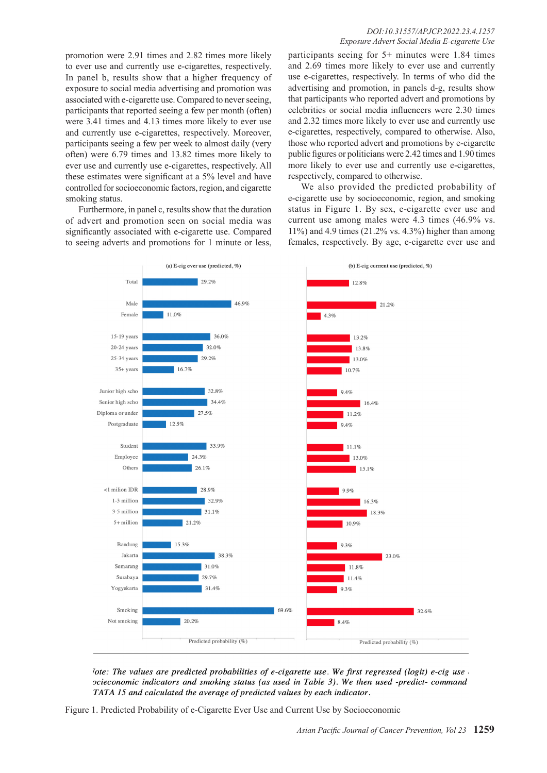promotion were 2.91 times and 2.82 times more likely to ever use and currently use e-cigarettes, respectively. In panel b, results show that a higher frequency of exposure to social media advertising and promotion was associated with e-cigarette use. Compared to never seeing, participants that reported seeing a few per month (often) were 3.41 times and 4.13 times more likely to ever use and currently use e-cigarettes, respectively. Moreover, participants seeing a few per week to almost daily (very often) were 6.79 times and 13.82 times more likely to ever use and currently use e-cigarettes, respectively. All these estimates were significant at a 5% level and have controlled for socioeconomic factors, region, and cigarette smoking status.

Furthermore, in panel c, results show that the duration of advert and promotion seen on social media was significantly associated with e-cigarette use. Compared to seeing adverts and promotions for 1 minute or less,

#### *DOI:10.31557/APJCP.2022.23.4.1257 Exposure Advert Social Media E-cigarette Use*

participants seeing for 5+ minutes were 1.84 times and 2.69 times more likely to ever use and currently use e-cigarettes, respectively. In terms of who did the advertising and promotion, in panels d-g, results show that participants who reported advert and promotions by celebrities or social media influencers were 2.30 times and 2.32 times more likely to ever use and currently use e-cigarettes, respectively, compared to otherwise. Also, those who reported advert and promotions by e-cigarette public figures or politicians were 2.42 times and 1.90 times more likely to ever use and currently use e-cigarettes, respectively, compared to otherwise.

We also provided the predicted probability of e-cigarette use by socioeconomic, region, and smoking status in Figure 1. By sex, e-cigarette ever use and current use among males were 4.3 times (46.9% vs. 11%) and 4.9 times (21.2% vs. 4.3%) higher than among females, respectively. By age, e-cigarette ever use and



lote: The values are predicted probabilities of e-cigarette use. We first regressed (logit) e-cig use ocieconomic indicators and smoking status (as used in Table 3). We then used -predict- command TATA 15 and calculated the average of predicted values by each indicator.

Figure 1. Predicted Probability of e-Cigarette Ever Use and Current Use by Socioeconomic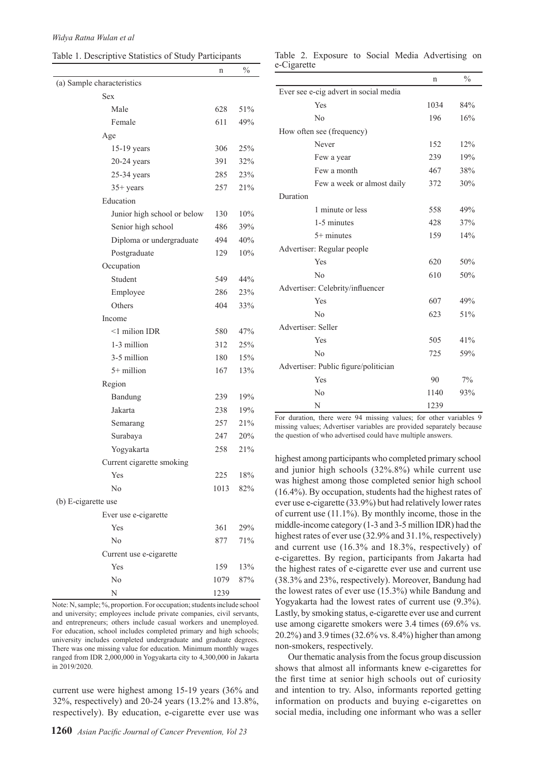| Table 1. Descriptive Statistics of Study Participants |  |  |
|-------------------------------------------------------|--|--|
|-------------------------------------------------------|--|--|

|                                                                         | n    | $\frac{0}{0}$ |  |
|-------------------------------------------------------------------------|------|---------------|--|
| (a) Sample characteristics                                              |      |               |  |
| <b>Sex</b>                                                              |      |               |  |
| Male                                                                    | 628  | 51%           |  |
| Female                                                                  | 611  | 49%           |  |
| Age                                                                     |      |               |  |
| 15-19 years                                                             | 306  | 25%           |  |
| $20-24$ years                                                           | 391  | 32%           |  |
| $25-34$ years                                                           | 285  | 23%           |  |
| $35+$ years                                                             | 257  | 21%           |  |
| Education                                                               |      |               |  |
| Junior high school or below                                             | 130  | 10%           |  |
| Senior high school                                                      | 486  | 39%           |  |
| Diploma or undergraduate                                                | 494  | 40%           |  |
| Postgraduate                                                            | 129  | 10%           |  |
| Occupation                                                              |      |               |  |
| Student                                                                 | 549  | 44%           |  |
| Employee                                                                | 286  | 23%           |  |
| Others                                                                  | 404  | 33%           |  |
| Income                                                                  |      |               |  |
| $\leq$ 1 milion IDR                                                     | 580  | 47%           |  |
| 1-3 million                                                             | 312  | 25%           |  |
| 3-5 million                                                             | 180  | 15%           |  |
| $5+$ million                                                            | 167  | 13%           |  |
| Region                                                                  |      |               |  |
| Bandung                                                                 | 239  | 19%           |  |
| Jakarta                                                                 | 238  | 19%           |  |
| Semarang                                                                | 257  | 21%           |  |
| Surabaya                                                                | 247  | 20%           |  |
| Yogyakarta                                                              | 258  | 21%           |  |
| Current cigarette smoking                                               |      |               |  |
| Yes                                                                     | 225  | $18\%$        |  |
| No                                                                      | 1013 | 82%           |  |
| (b) E-cigarette use                                                     |      |               |  |
| Ever use e-cigarette                                                    |      |               |  |
| Yes                                                                     | 361  | 29%           |  |
| No                                                                      | 877  | 71%           |  |
| Current use e-cigarette                                                 |      |               |  |
| Yes                                                                     | 159  | 13%           |  |
| No                                                                      | 1079 | 87%           |  |
| N                                                                       | 1239 |               |  |
| Note: N, sample; %, proportion. For occupation; students include school |      |               |  |

and university; employees include private companies, civil servants, and entrepreneurs; others include casual workers and unemployed. For education, school includes completed primary and high schools; university includes completed undergraduate and graduate degrees. There was one missing value for education. Minimum monthly wages ranged from IDR 2,000,000 in Yogyakarta city to 4,300,000 in Jakarta in 2019/2020.

current use were highest among 15-19 years (36% and 32%, respectively) and 20-24 years (13.2% and 13.8%, respectively). By education, e-cigarette ever use was

Table 2. Exposure to Social Media Advertising on e-Cigarette

|                                       | n    | $\frac{0}{0}$ |
|---------------------------------------|------|---------------|
| Ever see e-cig advert in social media |      |               |
| Yes                                   | 1034 | 84%           |
| No                                    | 196  | 16%           |
| How often see (frequency)             |      |               |
| Never                                 | 152  | 12%           |
| Few a year                            | 239  | 19%           |
| Few a month                           | 467  | 38%           |
| Few a week or almost daily            | 372  | 30%           |
| Duration                              |      |               |
| 1 minute or less                      | 558  | 49%           |
| 1-5 minutes                           | 428  | 37%           |
| $5+$ minutes                          | 159  | 14%           |
| Advertiser: Regular people            |      |               |
| Yes                                   | 620  | 50%           |
| N <sub>0</sub>                        | 610  | 50%           |
| Advertiser: Celebrity/influencer      |      |               |
| Yes                                   | 607  | 49%           |
| No                                    | 623  | 51%           |
| Advertiser: Seller                    |      |               |
| Yes                                   | 505  | 41%           |
| No                                    | 725  | 59%           |
| Advertiser: Public figure/politician  |      |               |
| Yes                                   | 90   | 7%            |
| N <sub>0</sub>                        | 1140 | 93%           |
| N                                     | 1239 |               |

For duration, there were 94 missing values; for other variables 9 missing values; Advertiser variables are provided separately because the question of who advertised could have multiple answers.

highest among participants who completed primary school and junior high schools (32%.8%) while current use was highest among those completed senior high school (16.4%). By occupation, students had the highest rates of ever use e-cigarette (33.9%) but had relatively lower rates of current use (11.1%). By monthly income, those in the middle-income category (1-3 and 3-5 million IDR) had the highest rates of ever use (32.9% and 31.1%, respectively) and current use (16.3% and 18.3%, respectively) of e-cigarettes. By region, participants from Jakarta had the highest rates of e-cigarette ever use and current use (38.3% and 23%, respectively). Moreover, Bandung had the lowest rates of ever use (15.3%) while Bandung and Yogyakarta had the lowest rates of current use (9.3%). Lastly, by smoking status, e-cigarette ever use and current use among cigarette smokers were 3.4 times (69.6% vs. 20.2%) and 3.9 times (32.6% vs. 8.4%) higher than among non-smokers, respectively.

Our thematic analysis from the focus group discussion shows that almost all informants knew e-cigarettes for the first time at senior high schools out of curiosity and intention to try. Also, informants reported getting information on products and buying e-cigarettes on social media, including one informant who was a seller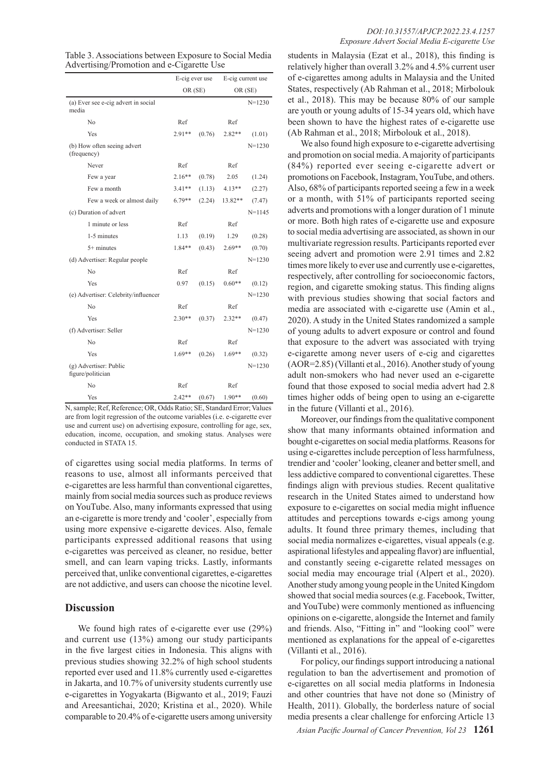| Table 3. Associations between Exposure to Social Media |
|--------------------------------------------------------|
| Advertising/Promotion and e-Cigarette Use              |

|                                              | E-cig ever use |        | E-cig current use |            |  |
|----------------------------------------------|----------------|--------|-------------------|------------|--|
|                                              | OR (SE)        |        |                   | OR (SE)    |  |
| (a) Ever see e-cig advert in social<br>media |                |        |                   | $N = 1230$ |  |
| No                                           | Ref            |        | Ref               |            |  |
| Yes                                          | $2.91**$       | (0.76) | $2.82**$          | (1.01)     |  |
| (b) How often seeing advert<br>(frequency)   |                |        |                   | $N = 1230$ |  |
| Never                                        | Ref            |        | Ref               |            |  |
| Few a year                                   | $2.16**$       | (0.78) | 2.05              | (1.24)     |  |
| Few a month                                  | $3.41**$       | (1.13) | $4.13**$          | (2.27)     |  |
| Few a week or almost daily                   | $6.79**$       | (2.24) | 13.82**           | (7.47)     |  |
| (c) Duration of advert                       |                |        |                   | $N = 1145$ |  |
| 1 minute or less                             | Ref            |        | Ref               |            |  |
| 1-5 minutes                                  | 1.13           | (0.19) | 1.29              | (0.28)     |  |
| $5+$ minutes                                 | 1.84**         | (0.43) | $2.69**$          | (0.70)     |  |
| (d) Advertiser: Regular people               |                |        |                   | $N = 1230$ |  |
| No                                           | Ref            |        | Ref               |            |  |
| Yes                                          | 0.97           | (0.15) | $0.60**$          | (0.12)     |  |
| (e) Advertiser: Celebrity/influencer         |                |        |                   | $N = 1230$ |  |
| No                                           | Ref            |        | Ref               |            |  |
| Yes                                          | $2.30**$       | (0.37) | $2.32**$          | (0.47)     |  |
| (f) Advertiser: Seller                       |                |        |                   | $N = 1230$ |  |
| No                                           | Ref            |        | Ref               |            |  |
| Yes                                          | $1.69**$       | (0.26) | $1.69**$          | (0.32)     |  |
| (g) Advertiser: Public<br>figure/politician  |                |        |                   | $N = 1230$ |  |
| No                                           | Ref            |        | Ref               |            |  |
| Yes                                          | $2.42**$       | (0.67) | $1.90**$          | (0.60)     |  |

N, sample; Ref, Reference; OR, Odds Ratio; SE, Standard Error; Values are from logit regression of the outcome variables (i.e. e-cigarette ever use and current use) on advertising exposure, controlling for age, sex, education, income, occupation, and smoking status. Analyses were conducted in STATA 15.

of cigarettes using social media platforms. In terms of reasons to use, almost all informants perceived that e-cigarettes are less harmful than conventional cigarettes, mainly from social media sources such as produce reviews on YouTube. Also, many informants expressed that using an e-cigarette is more trendy and 'cooler', especially from using more expensive e-cigarette devices. Also, female participants expressed additional reasons that using e-cigarettes was perceived as cleaner, no residue, better smell, and can learn vaping tricks. Lastly, informants perceived that, unlike conventional cigarettes, e-cigarettes are not addictive, and users can choose the nicotine level.

### **Discussion**

We found high rates of e-cigarette ever use  $(29\%)$ and current use (13%) among our study participants in the five largest cities in Indonesia. This aligns with previous studies showing 32.2% of high school students reported ever used and 11.8% currently used e-cigarettes in Jakarta, and 10.7% of university students currently use e-cigarettes in Yogyakarta (Bigwanto et al., 2019; Fauzi and Areesantichai, 2020; Kristina et al., 2020). While comparable to 20.4% of e-cigarette users among university

students in Malaysia (Ezat et al., 2018), this finding is relatively higher than overall 3.2% and 4.5% current user of e-cigarettes among adults in Malaysia and the United States, respectively (Ab Rahman et al., 2018; Mirbolouk et al., 2018). This may be because 80% of our sample are youth or young adults of 15-34 years old, which have been shown to have the highest rates of e-cigarette use (Ab Rahman et al., 2018; Mirbolouk et al., 2018).

We also found high exposure to e-cigarette advertising and promotion on social media. A majority of participants (84%) reported ever seeing e-cigarette advert or promotions on Facebook, Instagram, YouTube, and others. Also, 68% of participants reported seeing a few in a week or a month, with 51% of participants reported seeing adverts and promotions with a longer duration of 1 minute or more. Both high rates of e-cigarette use and exposure to social media advertising are associated, as shown in our multivariate regression results. Participants reported ever seeing advert and promotion were 2.91 times and 2.82 times more likely to ever use and currently use e-cigarettes, respectively, after controlling for socioeconomic factors, region, and cigarette smoking status. This finding aligns with previous studies showing that social factors and media are associated with e-cigarette use (Amin et al., 2020). A study in the United States randomized a sample of young adults to advert exposure or control and found that exposure to the advert was associated with trying e-cigarette among never users of e-cig and cigarettes (AOR=2.85) (Villanti et al., 2016). Another study of young adult non-smokers who had never used an e-cigarette found that those exposed to social media advert had 2.8 times higher odds of being open to using an e-cigarette in the future (Villanti et al., 2016).

Moreover, our findings from the qualitative component show that many informants obtained information and bought e-cigarettes on social media platforms. Reasons for using e-cigarettes include perception of less harmfulness, trendier and 'cooler' looking, cleaner and better smell, and less addictive compared to conventional cigarettes. These findings align with previous studies. Recent qualitative research in the United States aimed to understand how exposure to e-cigarettes on social media might influence attitudes and perceptions towards e-cigs among young adults. It found three primary themes, including that social media normalizes e-cigarettes, visual appeals (e.g. aspirational lifestyles and appealing flavor) are influential, and constantly seeing e-cigarette related messages on social media may encourage trial (Alpert et al., 2020). Another study among young people in the United Kingdom showed that social media sources (e.g. Facebook, Twitter, and YouTube) were commonly mentioned as influencing opinions on e-cigarette, alongside the Internet and family and friends. Also, "Fitting in" and "looking cool" were mentioned as explanations for the appeal of e-cigarettes (Villanti et al., 2016).

For policy, our findings support introducing a national regulation to ban the advertisement and promotion of e-cigarettes on all social media platforms in Indonesia and other countries that have not done so (Ministry of Health, 2011). Globally, the borderless nature of social media presents a clear challenge for enforcing Article 13